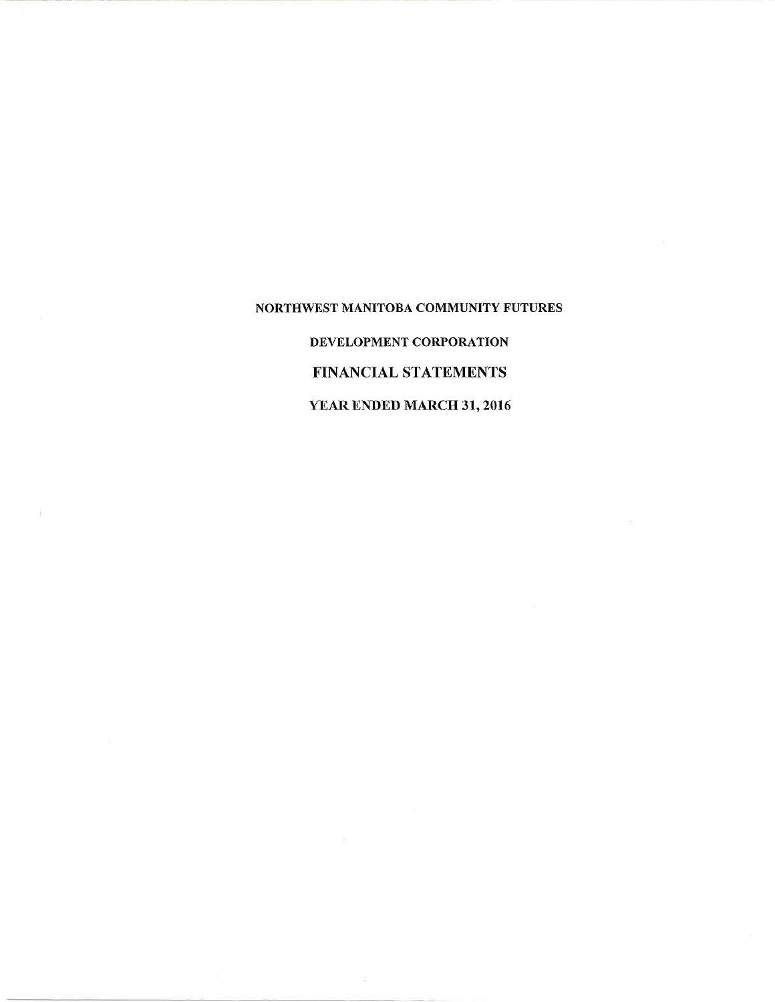NORTHWEST MANITOBA COMMUNITY FUTURES DEVELOPMENT CORPORATION FINANCIAL STATEMENTS YEAR ENDED MARCH 31. 2016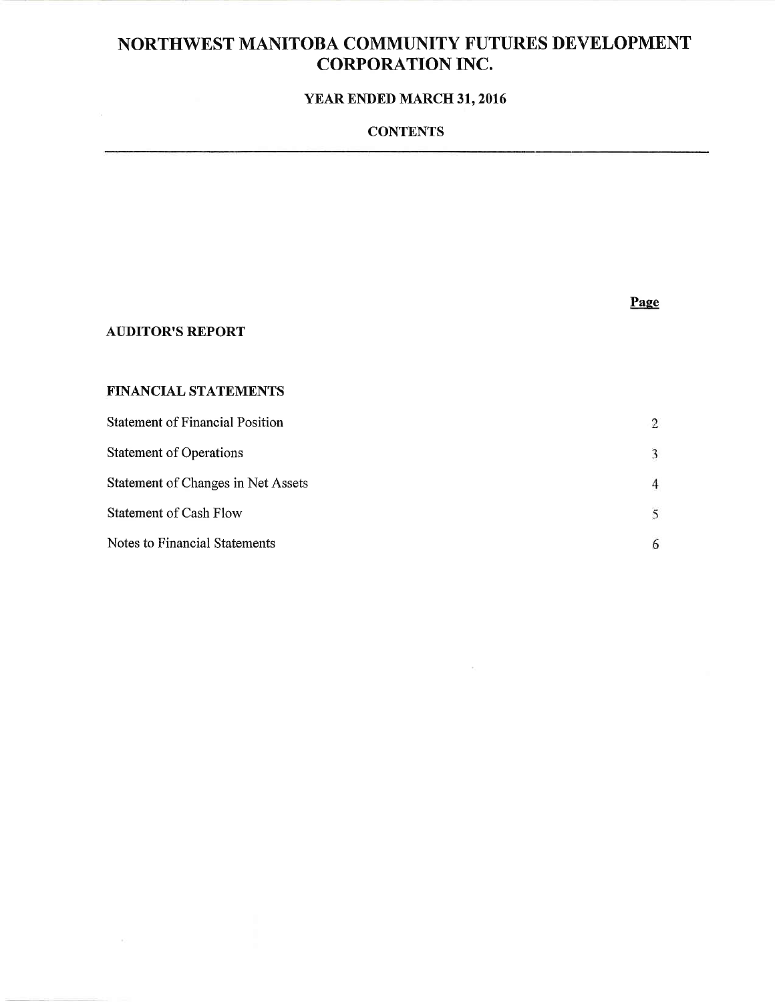### YEAR ENDED MARCH 31, 2016

### **CONTENTS**

Page

#### AUDITOR'S REPORT

# FINANCIAL STATEMENTS

| <b>Statement of Financial Position</b> | 2 |
|----------------------------------------|---|
| <b>Statement of Operations</b>         | 3 |
| Statement of Changes in Net Assets     | 4 |
| <b>Statement of Cash Flow</b>          | 5 |
| Notes to Financial Statements          |   |

 $\sim$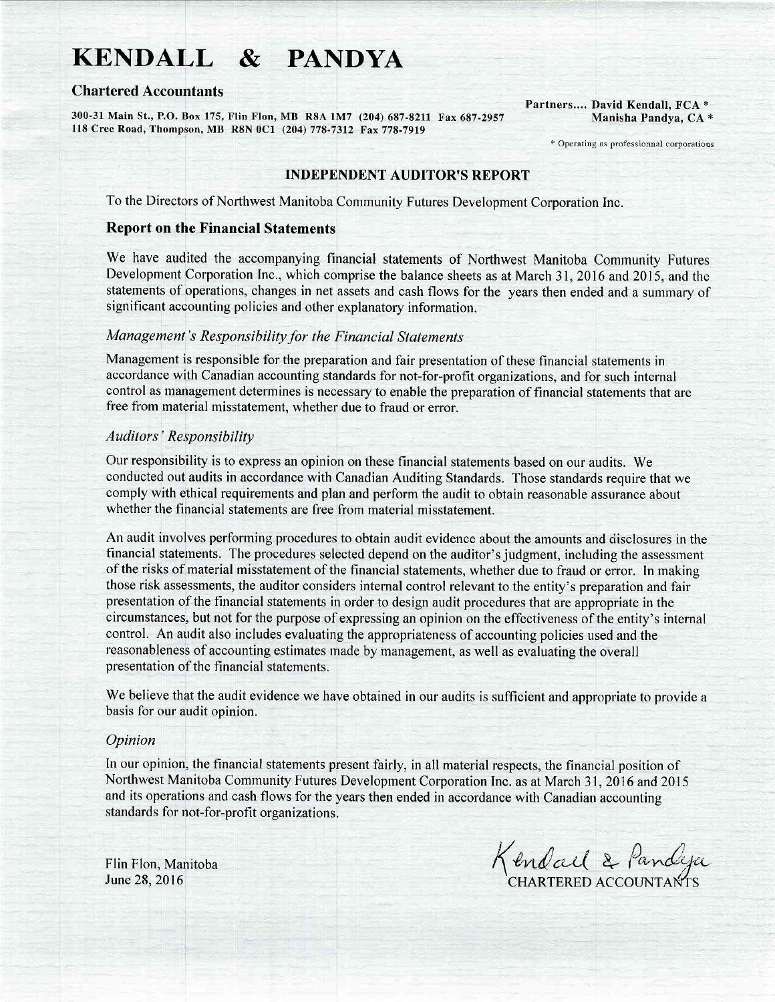# KENDALL & PANDYA

#### Chartered Accountants

300-31 Main St., P.O. Box 175, Flin Flon, MB R8A 1M7 (204) 687-8211 Fax 687-2957 <sup>118</sup>Cree Road, Thompson, MB R8N 0C1 (204) 778-7312 Fax 778-7919

Partners.... David Kendall, FCA \* Manisha Pandya, CA \*

\* Operating as professionnal corporations

# INDEPENDENT AUDITOR'S REPORT

To the Directors of Nofthwest Manitoba Community Futures Development Corporation Inc.

#### Report on the Financial Statements

We have audited the accompanying financial statements of Northwest Manitoba Community Futures Development Corporation Inc., which comprise the balance sheets as at March 31, 2016 and 2015, and the statements of operations, changes in net assets and cash flows for the years then ended and a summary of significant accounting policies and other explanatory inforrnation.

# Management's Responsibility for the Financial Statements

Management is responsible for the preparation and fair presentation of these financial statements in accordance with Canadian accounting standards for not-for-profit organizations, and for such internal control as management determines is necessary to enable the preparation of financial statements that are free from material misstatement, whether due to fraud or error.

#### Auditors' Responsibility

Our responsibility is to express an opinion on these financial statements based on our audits. We conducted out audits in accordance with Canadian Auditing Standards. Those standards require that we comply with ethical requirements and plan and perform the audit to obtain reasonable assurance about whether the financial statements are free from material misstatement.

An audit involves performing procedures to obtain audit evidence about the amounts and ciisclosures in the financial statements. The procedures selected depend on the auditor's judgment, including the assessment of the risks of material misstatement of the financial statements, whether due to fraud or error. In making those risk assessments, the auditor considers internal control relevant to the entity's preparation and fair presentation of the financial statements in order to design audit procedures that are appropriate in the circumstances, but not for the purpose of expressing an opinion on the effectiveness of the entity's internal control. An audit also includes evaluating the appropriateness of accounting policies used and the reasonableness of accounting estimates made by management, as well as evaluating the overall presentation of the financial statements.

We believe that the audit evidence we have obtained in our audits is sufficient and appropriate to provide a basis for our audit opinion.

#### Opinion

ln our opinion, the financial statements present fairly, in all material respects, the financial position of Northwest Manitoba Community Futures Development Corporation Inc. as at March 31,2016 and 2015 and its operations and cash flows for the years then ended in accordance with Canadian accounting standards for not-for-profit organizations.

Kendal & Pandya ACCOUNTANTS

Flin Flon. Manitoba June 28.2016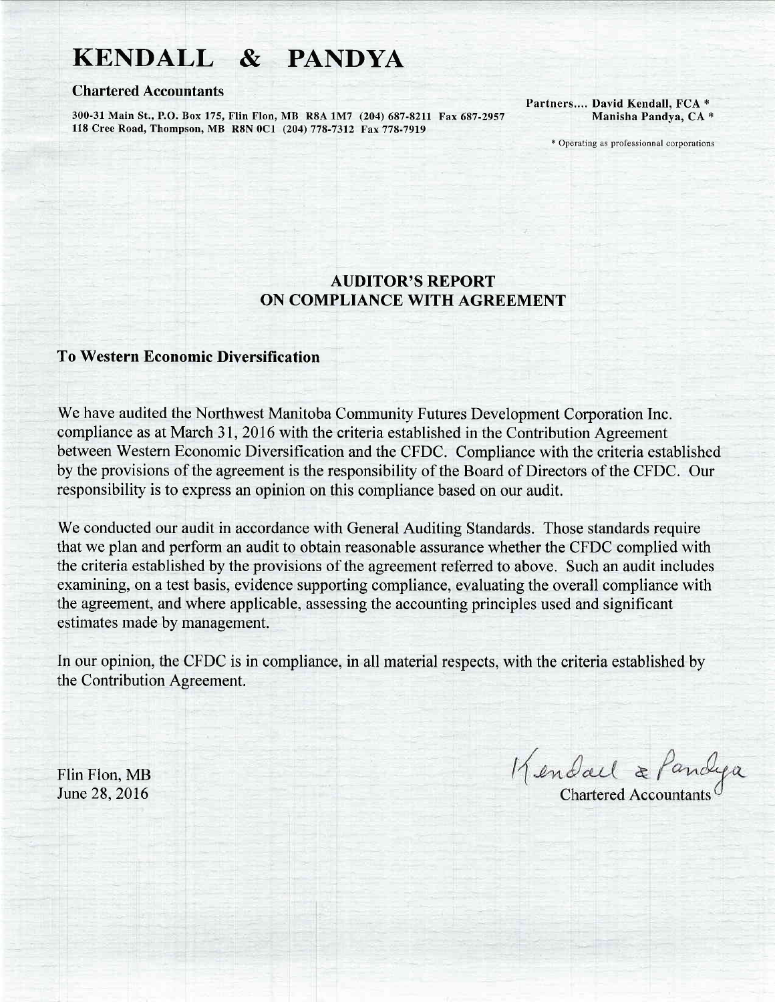# KENDALL & PANDYA

#### Chartered Accountants

300-31 Main St., P.O. Box 175, Flin Flon, MB R8A 1M7 (204) 687-8211 Fax 687-2957 118 Cree Road, Thompson, MB R8N OCl (204) 778-7312 Fax 778-7919

Partners..., David Kendall, FCA \* Manisha Pandva. CA \*

\* Operating as professionnal corporations

# AUDITOR'S REPORT ON COMPLIANCE WITH AGREEMENT

## To Western Economic Diversification

We have audited the Northwest Manitoba Community Futures Development Corporation Inc. compliance as at March 31,2016 with the criteria established in the Contribution Agreement between Western Economic Diversification and the CFDC. Compliance with the criteria established by the provisions of the agreement is the responsibility of the Board of Directors of the CFDC. Our responsibility is to express an opinion on this compliance based on our audit.

We conducted our audit in accordance with General Auditing Standards. Those standards require that we plan and perform an audit to obtain reasonable assurance whether the CFDC complied with the criteria established by the provisions of the agreement referred to above. Such an audit includes examining, on a test basis, evidence supporting compliance, evaluating the overall compliance with the agreement, and where applicable, assessing the accounting principles used and significant estimates made by management.

In our opinion, the CFDC is in compliance, in all material respects, with the criteria established by the Contribution Agreement.

Flin Flon, MB June 28. 2016

Kendal & Pandya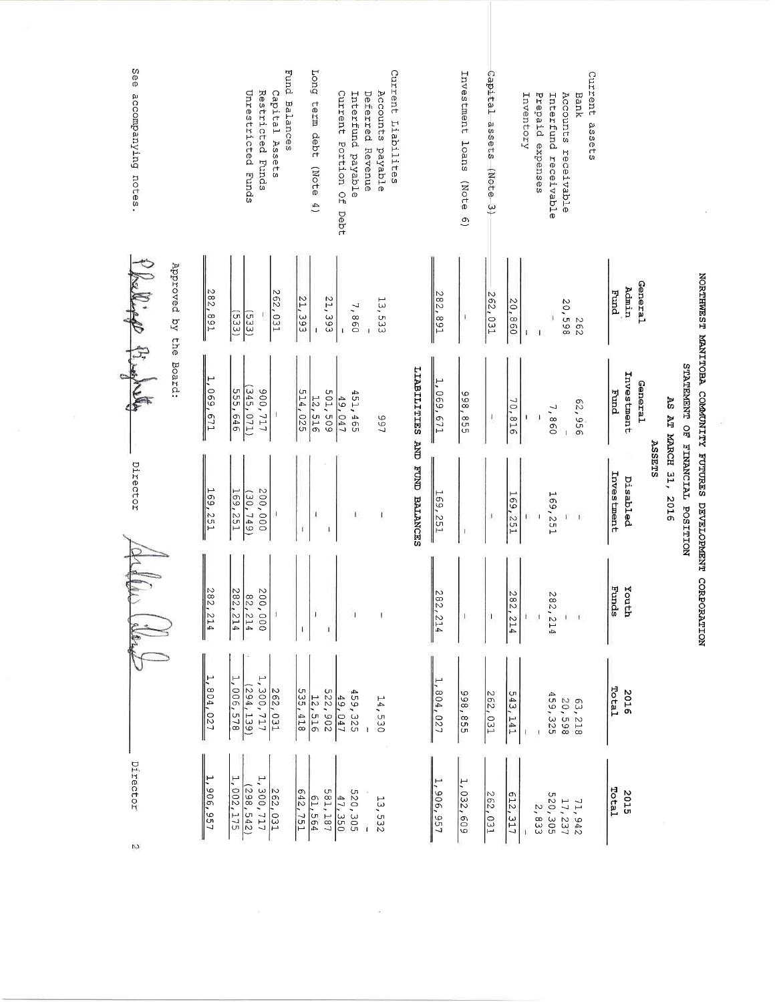| Approved by the | 282,891                  | Unrestricted Funds<br>Restricted<br>Capital Assets<br>Enmds<br>262,031<br>(53)<br>$\frac{(533)}{2}$ | Fund Balances<br>Long term debt (Note 4)<br>21,393<br>21,393 | Current<br>Interfund payable<br>Derreed<br>Portion Of<br>Revenue<br>Debt<br>7,860<br>$\mathbf{I}$ | Current<br>Accounts<br>Liabilites<br>payable<br>13,533 |                          | 282,891                                         | Investment loans<br>(Note<br>$\overline{Q}$ | Capital assets (Note 3)<br>262,031 | Inventory<br>20,860     | Prepaid expenses<br>T | Interfund receivable        | Accounts<br>receivable<br>86°20' | Current<br>Bank<br>assets<br>262 | Pund                        | General<br>Admin      |               |                      |                                 |                                                              |
|-----------------|--------------------------|-----------------------------------------------------------------------------------------------------|--------------------------------------------------------------|---------------------------------------------------------------------------------------------------|--------------------------------------------------------|--------------------------|-------------------------------------------------|---------------------------------------------|------------------------------------|-------------------------|-----------------------|-----------------------------|----------------------------------|----------------------------------|-----------------------------|-----------------------|---------------|----------------------|---------------------------------|--------------------------------------------------------------|
| Board:          | 1,069,671                | 345,071)<br>555,646<br>900,717<br>1                                                                 | 514,025<br>501,509<br>12,516                                 | 451,465<br>49,047                                                                                 | 166                                                    | <b>LIABILITIES</b>       | 069,671                                         | 598'855                                     | I                                  | 70,816                  |                       | 7,860                       |                                  | 62,956                           | Pund                        | Investment<br>Ceneral |               |                      |                                 | NORTHWEST MANIVORA COMMUNITY FUTURES DEVELOPMENT CORPORATION |
| Director        | 169,251                  | 200,000<br>169,251<br>(90, 749)                                                                     |                                                              | x                                                                                                 |                                                        | <b>AND FUND BALANCES</b> | 169,251                                         |                                             | $\mathbf{i}$                       | 169,251                 |                       | 169,251                     |                                  | $\mathbf{I}$                     | Investment                  | Disabled              | <b>ASSETS</b> | AS AT MARCH 31, 2016 | STATEMENT OF FINANCIAL POSITION |                                                              |
|                 | 282,21<br>⊩ا∥            | $\frac{200,000}{82,214}$                                                                            | Ħ                                                            | $\mathbf{L}$                                                                                      |                                                        |                          | $\frac{282.2}{28}$<br><b>H-</b><br>$\mathbf{4}$ |                                             |                                    | 282,2:<br>$\frac{1}{4}$ |                       | 282,2<br>14                 |                                  |                                  | Eunds                       | Touth                 |               |                      |                                 |                                                              |
|                 | 5<br>804,027             | $\frac{262,031}{1,300,717}$<br>294,139)<br>006,578                                                  | 535, 418<br>522,902<br>12,516                                | 459,325<br>49,047                                                                                 | 14,530                                                 |                          | 804,027                                         | 998,855                                     | 262,031                            | 543,<br>I41             |                       | 459,325                     | 63,218<br>20,598                 |                                  | Total                       | 2016                  |               |                      |                                 |                                                              |
| Director<br>2   | $\frac{1}{2}$ , 906, 957 | 1,002,175<br>1,300,717<br>298, 542<br>262,031                                                       | 642,751<br>581,187<br>61,564                                 | 520,305<br>47,350                                                                                 | 13,532                                                 |                          | 1,906,957                                       | F<br>032,609                                | 262,031                            | 612,317                 | 2,833                 | 71,942<br>17,237<br>520,305 |                                  |                                  | $\frac{2015}{\text{Total}}$ |                       |               |                      |                                 |                                                              |

 $\bar{E}$ 

Annivery statings

 $\bar{\nu}$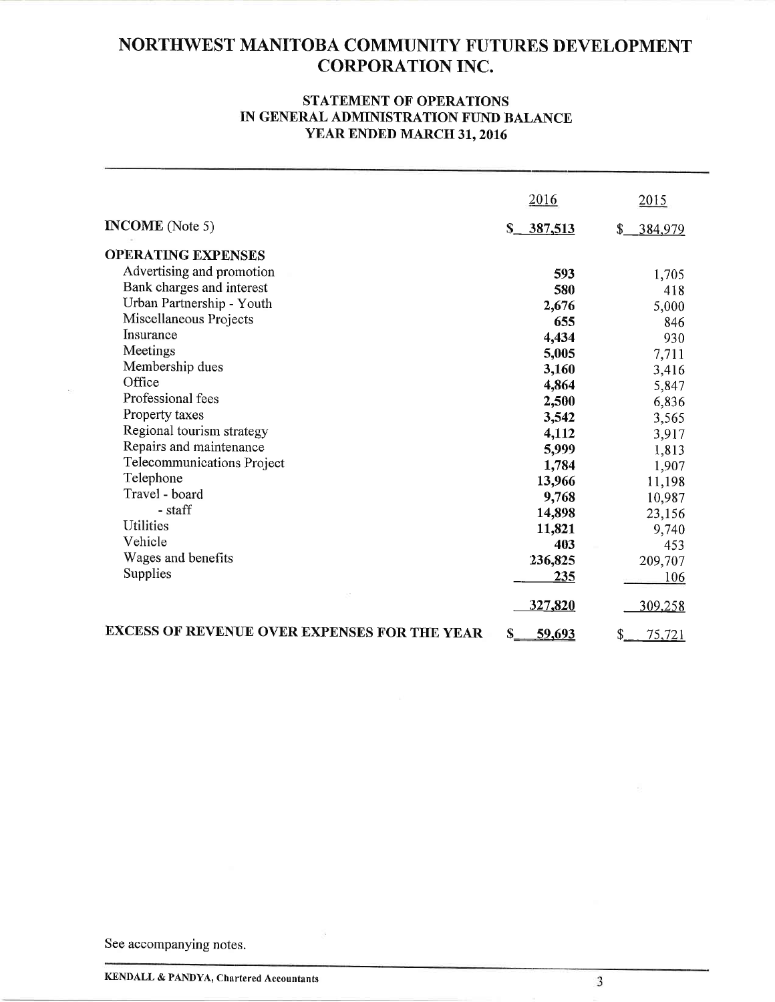# STATEMENT OF OPERATIONS IN GENERAL ADMINISTRATION FUND BALANCE YEAR ENDED MARCH 31, 2016

|                                                     | 2016         | 2015          |
|-----------------------------------------------------|--------------|---------------|
| <b>INCOME</b> (Note 5)                              | 387,513<br>S | \$<br>384,979 |
| <b>OPERATING EXPENSES</b>                           |              |               |
| Advertising and promotion                           | 593          | 1,705         |
| Bank charges and interest                           | 580          | 418           |
| Urban Partnership - Youth                           | 2,676        | 5,000         |
| Miscellaneous Projects                              | 655          | 846           |
| Insurance                                           | 4,434        | 930           |
| Meetings                                            | 5,005        | 7,711         |
| Membership dues                                     | 3,160        | 3,416         |
| Office                                              | 4,864        | 5,847         |
| Professional fees                                   | 2,500        | 6,836         |
| Property taxes                                      | 3,542        | 3,565         |
| Regional tourism strategy                           | 4,112        | 3,917         |
| Repairs and maintenance                             | 5,999        | 1,813         |
| Telecommunications Project                          | 1,784        | 1,907         |
| Telephone                                           | 13,966       | 11,198        |
| Travel - board                                      | 9,768        | 10,987        |
| - staff                                             | 14,898       | 23,156        |
| <b>Utilities</b>                                    | 11,821       | 9,740         |
| Vehicle                                             | 403          | 453           |
| Wages and benefits                                  | 236,825      | 209,707       |
| Supplies                                            | 235          | 106           |
|                                                     | 327,820      | 309,258       |
| <b>EXCESS OF REVENUE OVER EXPENSES FOR THE YEAR</b> | \$<br>59,693 | \$<br>75,721  |

See accompanying notes.

 $\sim$ 

KENDALL & PANDYA, Chartered Accountants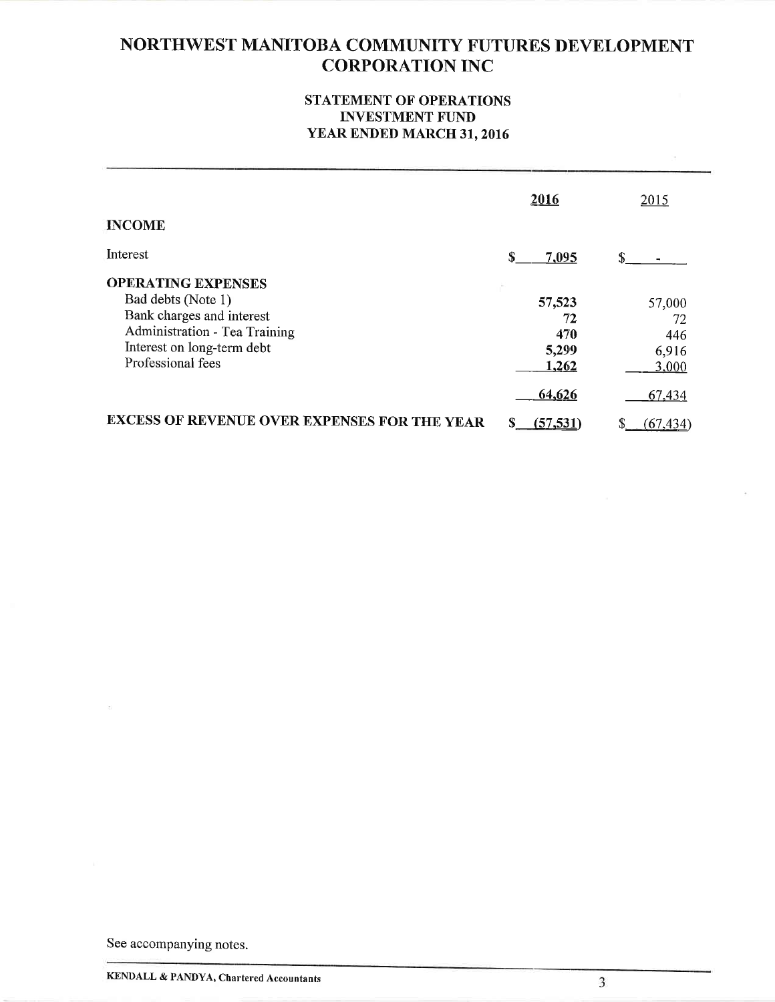# STATEMENT OF OPERATIONS INVESTMENT FUND YEAR ENDED MARCH 31, 2016

|                                                     | 2016            | 2015            |
|-----------------------------------------------------|-----------------|-----------------|
| <b>INCOME</b>                                       |                 |                 |
| Interest                                            | S<br>7,095      |                 |
| <b>OPERATING EXPENSES</b>                           |                 |                 |
| Bad debts (Note 1)                                  | 57,523          | 57,000          |
| Bank charges and interest                           | 72              | 72              |
| Administration - Tea Training                       | 470             | 446             |
| Interest on long-term debt                          | 5,299           | 6,916           |
| Professional fees                                   | 1,262           | 3,000           |
|                                                     | 64,626          | 67,434          |
| <b>EXCESS OF REVENUE OVER EXPENSES FOR THE YEAR</b> | \$<br>(57, 531) | <u>(67,434)</u> |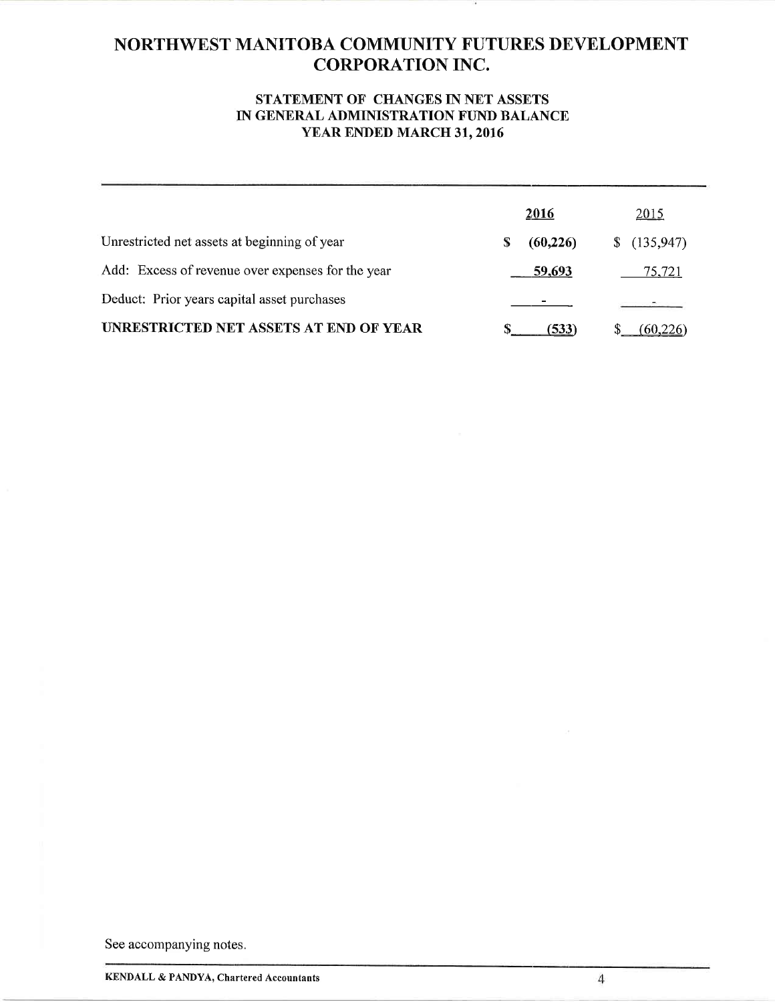# STATEMENT OF CHANGES IN NET ASSETS IN GENERAL ADMINISTRATION FUND BALANCE YEAR ENDED MARCH 31, 2016

|                                                   |   | <u>2016</u> | <u>2015</u> |
|---------------------------------------------------|---|-------------|-------------|
| Unrestricted net assets at beginning of year      | S | (60, 226)   | \$(135,947) |
| Add: Excess of revenue over expenses for the year |   | 59,693      | 75,721      |
| Deduct: Prior years capital asset purchases       |   |             |             |
| UNRESTRICTED NET ASSETS AT END OF YEAR            |   | (533)       | (60, 226)   |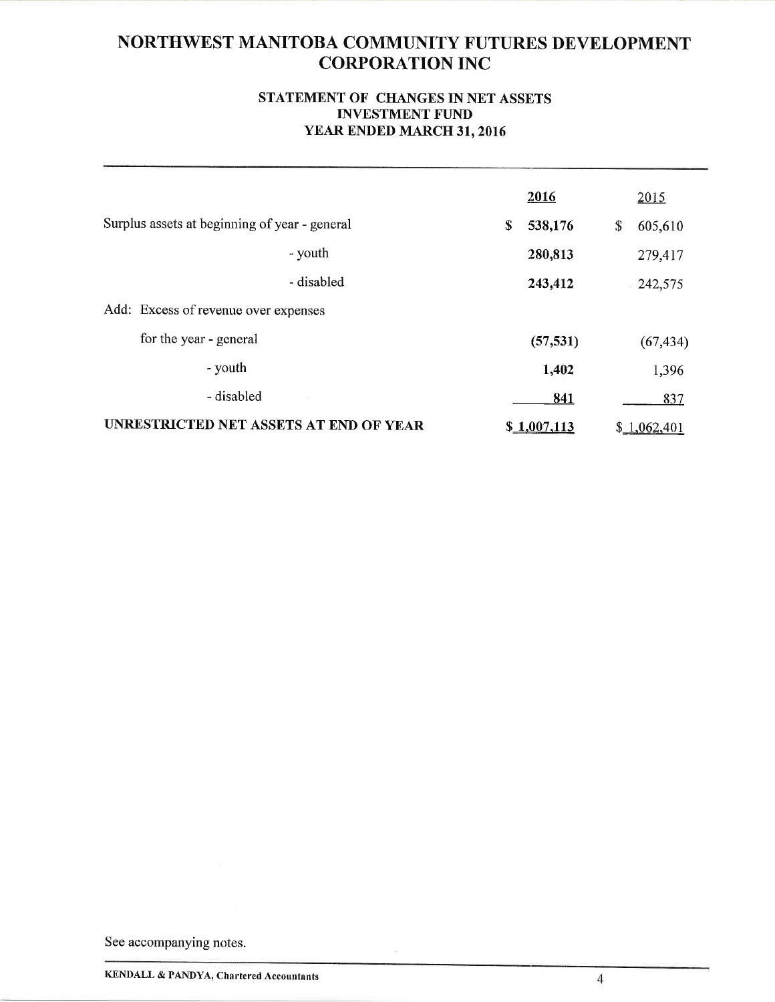# STATEMENT OF CHANGES IN NET ASSETS INVESTMENT FUND YEAR ENDED MARCH 31, 2016

|                                               | 2016          | 2015          |
|-----------------------------------------------|---------------|---------------|
| Surplus assets at beginning of year - general | 538,176<br>\$ | \$<br>605,610 |
| - youth                                       | 280,813       | 279,417       |
| - disabled                                    | 243,412       | 242,575       |
| Add: Excess of revenue over expenses          |               |               |
| for the year - general                        | (57, 531)     | (67, 434)     |
| - youth                                       | 1,402         | 1,396         |
| - disabled                                    | 841           | 837           |
| UNRESTRICTED NET ASSETS AT END OF YEAR        | \$1,007,113   | \$1,062,401   |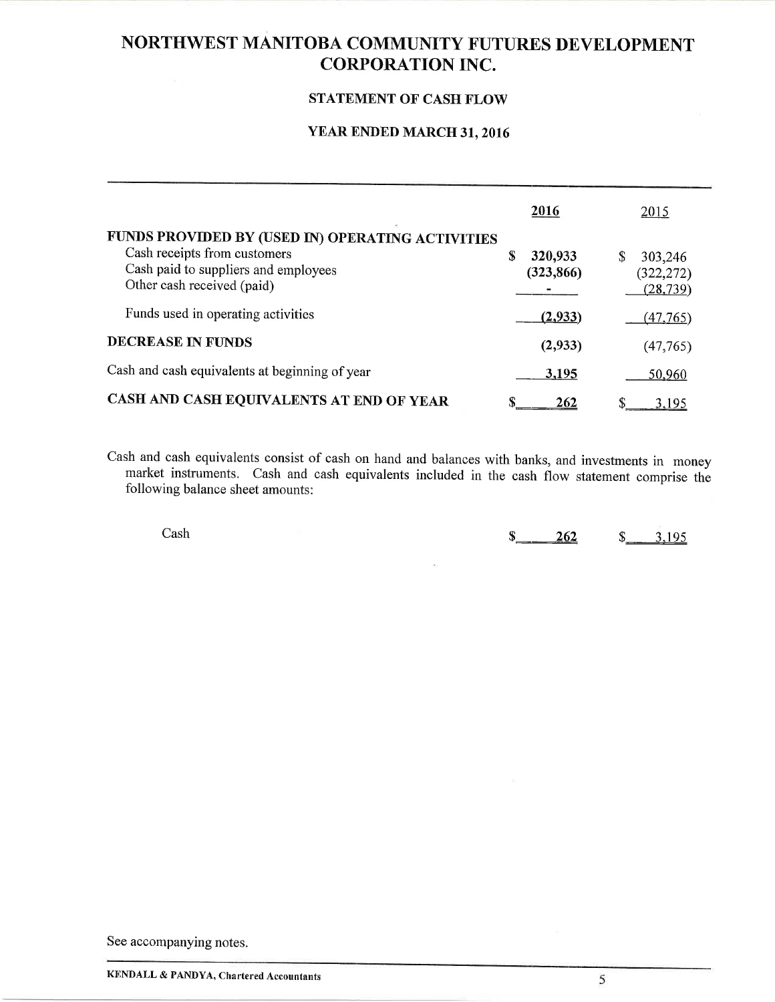# STATEMENT OF CASH FLOW

# YEAR ENDED MARCH 31. 2016

|                                                                                                                                                        | 2016                       | 2015                                     |
|--------------------------------------------------------------------------------------------------------------------------------------------------------|----------------------------|------------------------------------------|
| FUNDS PROVIDED BY (USED IN) OPERATING ACTIVITIES<br>Cash receipts from customers<br>Cash paid to suppliers and employees<br>Other cash received (paid) | S<br>320,933<br>(323, 866) | \$<br>303,246<br>(322, 272)<br>(28, 739) |
| Funds used in operating activities                                                                                                                     | (2,933)                    | <u>(47,765)</u>                          |
| <b>DECREASE IN FUNDS</b>                                                                                                                               | (2,933)                    | (47, 765)                                |
| Cash and cash equivalents at beginning of year                                                                                                         | 3,195                      | 50,960                                   |
| CASH AND CASH EQUIVALENTS AT END OF YEAR                                                                                                               | S<br>262                   | 3,195                                    |

Cash and cash equivalents consist of cash on hand and balances with banks, and investments in money market instruments. Cash and cash equivalents included in the cash flow statement comprise the following balance sheet amounts:

Cash  $\frac{\$_2\ \ 262}{\$_3\ \ 195}$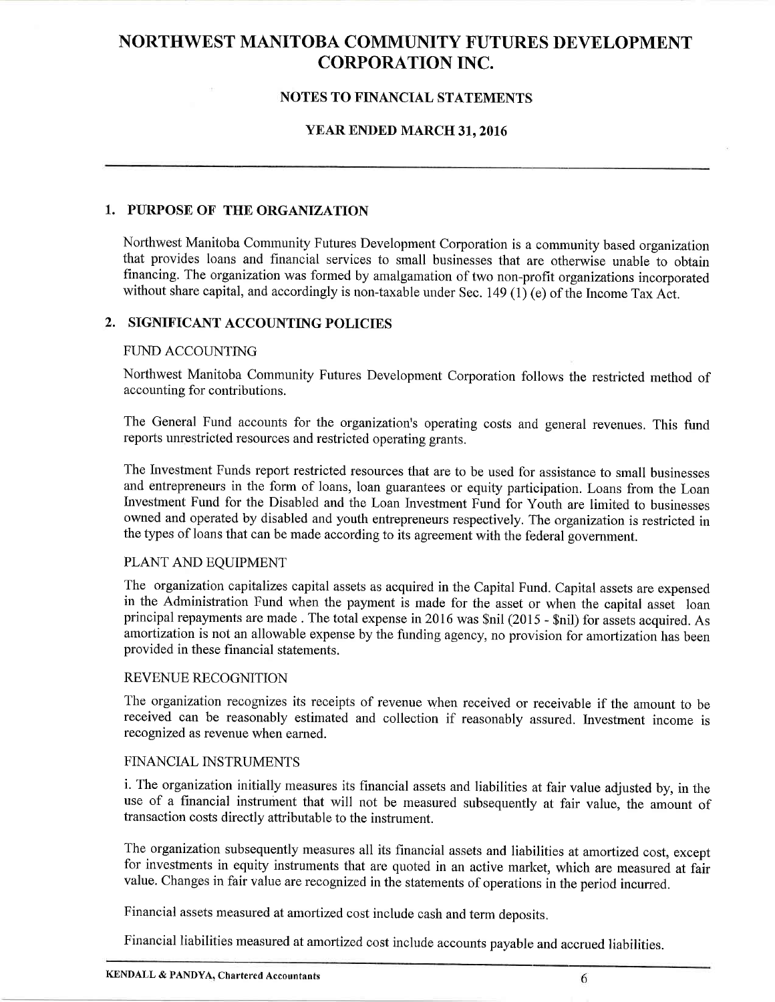### NOTES TO FINANCIAL STATEMENTS

### YEAR ENDED MARCH 31, 2016

#### 1. PURPOSE OF THE ORGANIZATION

Northwest Manitoba Comrnunity Futures Development Corporation is a community based organization that provides loans and financial services to small businesses that are otherwise unable to obtain financing. The organization was formed by amalgamation of two non-profit organizations incorporated without share capital, and accordingly is non-taxable under Sec. 149 (1) (e) of the Income Tax Act.

### 2. SIGNIFICANT ACCOUNTING POLICIES

#### FUND ACCOUNTING

Northwest Manitoba Cornmunity Futures Development Corporation follows the restricted method of accounting for contributions.

The General Fund accounts for the organization's operating costs and general revenues. This fund reports unrestricted resources and restricted operating grants.

The Investment Funds report restricted resources that are to be used for assistance to small businesses and entrepreneurs in the form of loans, loan guarantees or equity participation. Loans from the Loan Investment Fund for the Disabled and the Loan Investment Fund for Youth are limited to businesses owned and operated by disabled and youth entrepreneurs respectively. The organization is restricted in the types of loans that can be made according to its agreement with the federal government.

#### PLANT AND EQUIPMENT

The organization capitalizes capital assets as acquired in the Capital Fund. Capital assets are expensed in the Administration Fund when the payment is made for the asset or when the capital assei loan principal repayments are made. The total expense in 2016 was \$nil (2015 - \$nil) for assets acquired. As amortization is not an allowable expense by the funding agency, no provision for amortization has been provided in these financial statements.

#### REVENUE RECOGMTION

The organization recognizes its receipts of revenue when received or receivable if the amount to be received can be reasonably estimated and collection if reasonably assured. Investment income is recognized as revenue when eamed.

#### FINANCIAL INSTRUMENTS

i. The organization initially measures its financial assets and liabilities at fair value adjusted by, in the use of a financial instrument that will not be measured subsequently at fair value, the amount of transaction costs directly attributable to the instrument.

The organization subsequently measures all its financial assets and liabilities at amortized cost, except for investments in equity instruments that are quoted in an active market, which are measured at fair value. Changes in fait value are recognized in the statements of operations in the period incurred.

Financial assets measured at amortized cost include cash and term deposits.

Financial liabilities measured at amortized cost include accounts payable and accrued liabilities.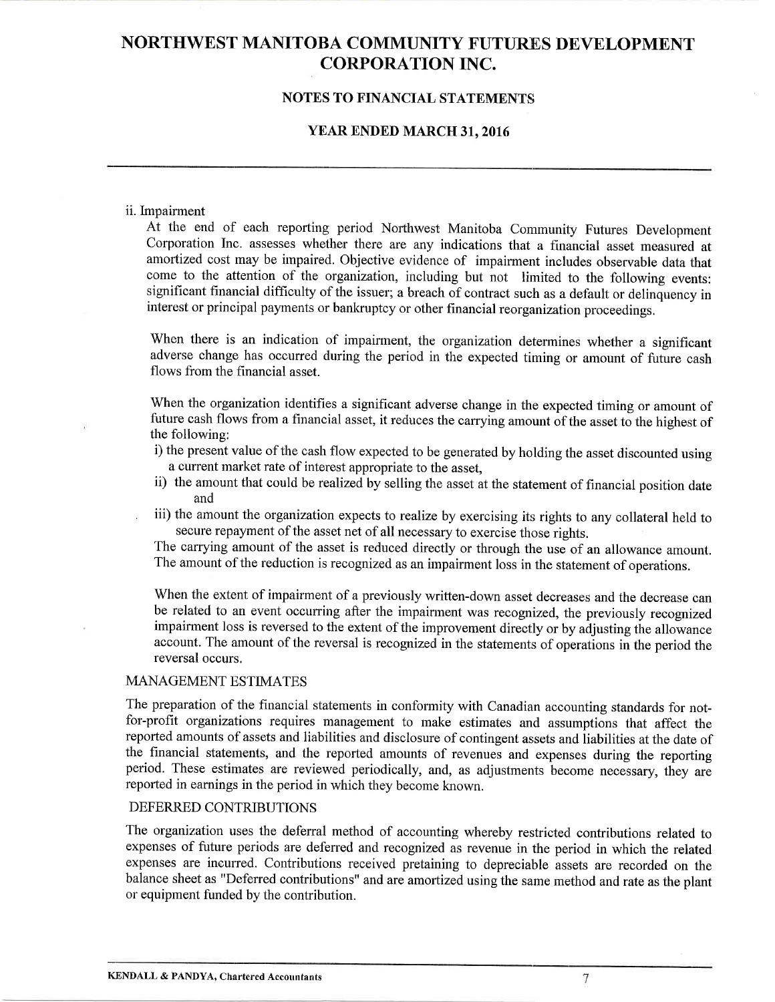#### NOTES TO FINANCIAL STATEMENTS

#### YEAR ENDED MARCH 31, 2016

#### ii. Impairment

At the end of each reporting period Northwest Manitoba Community Futures Development Corporation Inc. assesses whether there are any indications that a financial asset measured at amortized cost may be impaired. Objective evidence of impairment includes observable data that come to the attention of the organization, including but not limited to the following events: significant financial difficulty of the issuer; a breach of contract such as a default or delinquency in interest or principal payments or bankruptcy or other financial reorganization proceedings.

When there is an indication of impairment, the organization determines whether a significant adverse change has occurred during the period in the expected timing or amount of future cash flows from the financial asset.

When the organization identifies a significant adverse change in the expected timing or amount of future cash flows from a financial asset, it reduces the carrying amount of the asset to the highest of the following:

- i) the present value of the cash flow expected to be generated by holding the asset discounted using a current market rate of interest appropriate to the asset,
- ii) the amount that could be realized by selling the asset at the statement of financial position date and
- iii) the amount the organization expects to realize by exercising its rights to any collateral held to secure repayment of the asset net of all necessary to exercise those rights.

The carrying amount of the asset is reduced directly or through the use of an allowance amount. The amount of the reduction is recognized as an impairment loss in the statement of operations.

When the extent of impairment of a previously written-down asset decreases and the decrease can be related to an event occurring after the impairment was recognized, the previously recognized impairment loss is reversed to the extent of the improvement directly or by adjusting the allowance account. The amount of the reversal is recognized in the statements of operations in the period the reversal occurs.

#### MANAGEMENT ESTIMATES

The preparation of the financial statements in conformity with Canadian accounting standards for notfor-profit organizations requires management to make estimates and assumptions that affect the reported amounts of assets and liabilities and disclosure of contingent assets and liabilities at the date of the financial statements, and the reported amounts of revenues and expenses during the reporting period. These estimates are reviewed periodically, and, as adjustments become necessary, they are reported in earnings in the period in which they become known.

#### DEFERRED CONTRIBUTIONS

The organization uses the deferral method of accounting whereby restricted contributions related to expenses of future periods are defened and recognized as revenue in the period in which the related expenses are incurred. Contributions received pretaining to depreciable assets are recorded on the balance sheet as "Deferred contributions" and are amortized using the same method and rate as the plant or equipment funded by the contribution.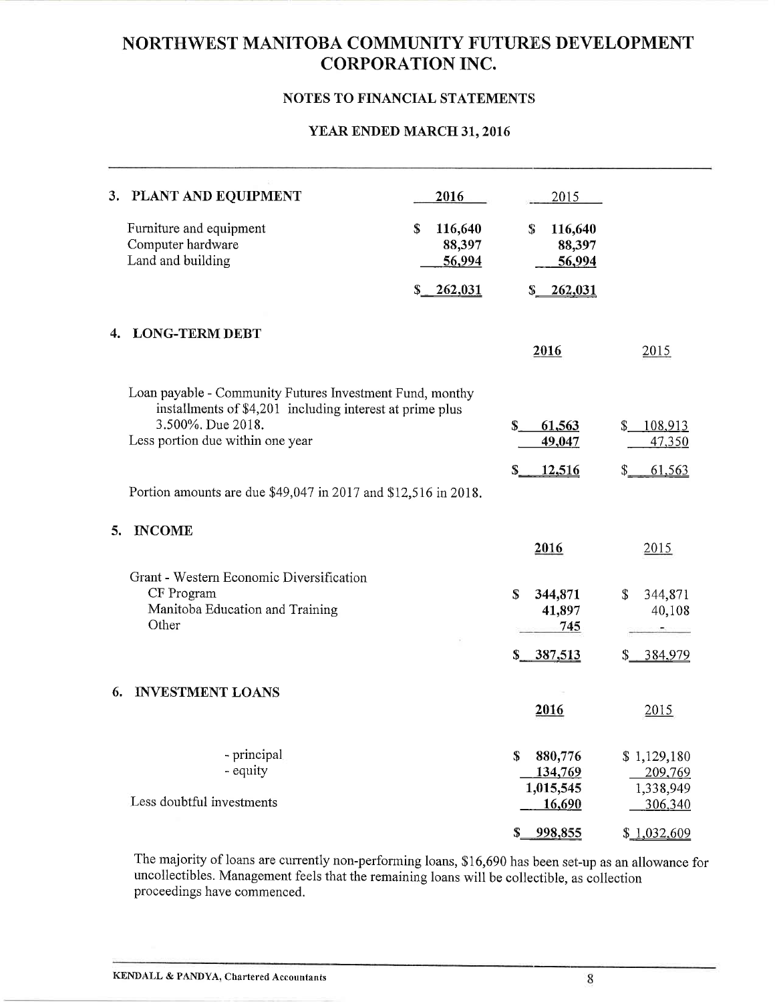# NOTES TO FINANCIAL STATEMENTS

# YEAR ENDED MARCH 31, 2016

|    | 3. PLANT AND EQUIPMENT                                                                                                                                                        | 2016                                        | 2015                                            |                                                |
|----|-------------------------------------------------------------------------------------------------------------------------------------------------------------------------------|---------------------------------------------|-------------------------------------------------|------------------------------------------------|
|    | Furniture and equipment<br>Computer hardware<br>Land and building                                                                                                             | $\mathbb{S}$<br>116,640<br>88,397<br>56,994 | S<br>116,640<br>88,397<br>56,994                |                                                |
|    |                                                                                                                                                                               | \$ 262,031                                  | 262,031<br>S.                                   |                                                |
| 4. | <b>LONG-TERM DEBT</b>                                                                                                                                                         |                                             | 2016                                            | 2015                                           |
|    | Loan payable - Community Futures Investment Fund, monthy<br>installments of \$4,201 including interest at prime plus<br>3.500%. Due 2018.<br>Less portion due within one year |                                             | 61,563<br>S<br>49,047                           | \$<br>108,913<br>47,350                        |
|    | Portion amounts are due \$49,047 in 2017 and \$12,516 in 2018.                                                                                                                |                                             | 12,516<br>S                                     | \$<br>61,563                                   |
| 5. | <b>INCOME</b>                                                                                                                                                                 |                                             | 2016                                            | 2015                                           |
|    | Grant - Western Economic Diversification<br>CF Program<br>Manitoba Education and Training<br>Other                                                                            |                                             | \$<br>344,871<br>41,897<br>745<br>387,513<br>S. | \$<br>344,871<br>40,108<br>384,979<br>S        |
| 6. | <b>INVESTMENT LOANS</b>                                                                                                                                                       |                                             | 2016                                            | 2015                                           |
|    | - principal<br>- equity<br>Less doubtful investments                                                                                                                          |                                             | \$<br>880,776<br>134,769<br>1,015,545<br>16,690 | \$1,129,180<br>209,769<br>1,338,949<br>306,340 |
|    |                                                                                                                                                                               |                                             | \$ 998,855                                      | \$1,032,609                                    |

The majority of loans are currently non-performing loans, uncollectibles. Management feels that the remaining loans proceedings have commenced. \$16,690 has been set-up as an allowance for will be collectible, as collection